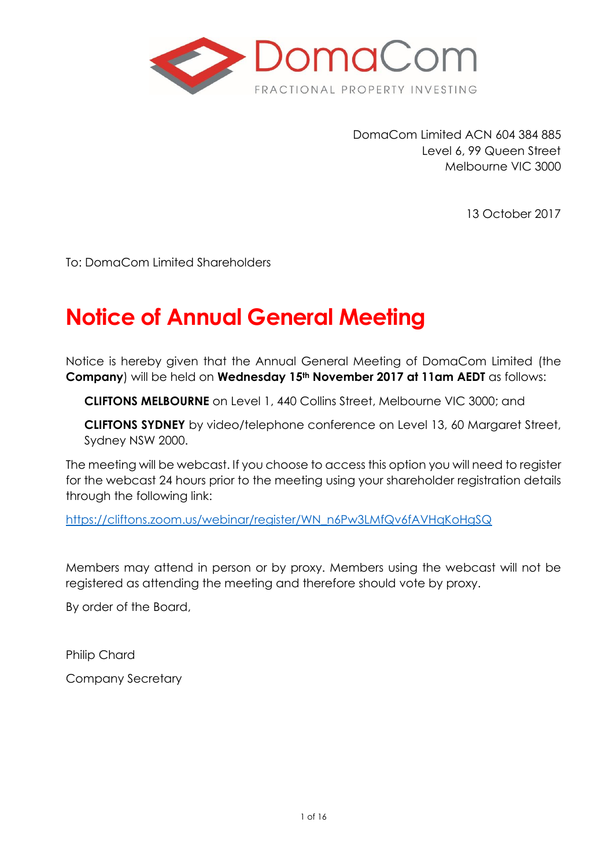

DomaCom Limited ACN 604 384 885 Level 6, 99 Queen Street Melbourne VIC 3000

13 October 2017

To: DomaCom Limited Shareholders

# **Notice of Annual General Meeting**

Notice is hereby given that the Annual General Meeting of DomaCom Limited (the **Company**) will be held on **Wednesday 15th November 2017 at 11am AEDT** as follows:

**CLIFTONS MELBOURNE** on Level 1, 440 Collins Street, Melbourne VIC 3000; and

**CLIFTONS SYDNEY** by video/telephone conference on Level 13, 60 Margaret Street, Sydney NSW 2000.

The meeting will be webcast. If you choose to access this option you will need to register for the webcast 24 hours prior to the meeting using your shareholder registration details through the following link:

[https://cliftons.zoom.us/webinar/register/WN\\_n6Pw3LMfQv6fAVHqKoHgSQ](https://apac01.safelinks.protection.outlook.com/?url=https%3A%2F%2Fcliftons.zoom.us%2Fwebinar%2Fregister%2FWN_n6Pw3LMfQv6fAVHqKoHgSQ&data=02%7C01%7Csophie.ioannou%40domacom.com.au%7C08951eff22704c4f35cd08d5008a76a4%7C39f342c447984b4aa5c878207a6c9250%7C0%7C0%7C636415517125795372&sdata=m6igHF4Wlq39FqHrnzX6tP7kRRSGFtfeu3yI4MpJFVg%3D&reserved=0)

Members may attend in person or by proxy. Members using the webcast will not be registered as attending the meeting and therefore should vote by proxy.

By order of the Board,

Philip Chard

Company Secretary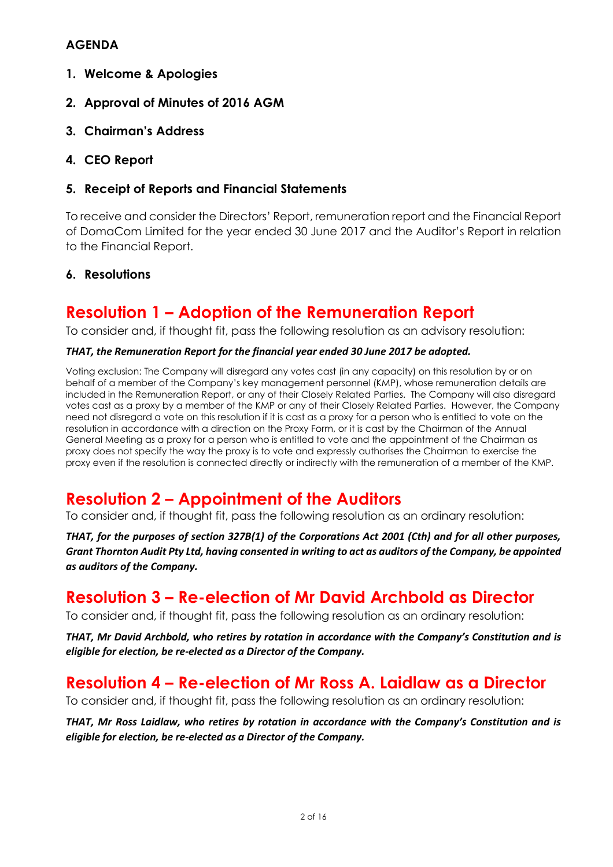### **AGENDA**

- **1. Welcome & Apologies**
- **2. Approval of Minutes of 2016 AGM**
- **3. Chairman's Address**
- **4. CEO Report**
- **5. Receipt of Reports and Financial Statements**

To receive and consider the Directors' Report, remuneration report and the Financial Report of DomaCom Limited for the year ended 30 June 2017 and the Auditor's Report in relation to the Financial Report.

### **6. Resolutions**

# **Resolution 1 – Adoption of the Remuneration Report**

To consider and, if thought fit, pass the following resolution as an advisory resolution:

#### *THAT, the Remuneration Report for the financial year ended 30 June 2017 be adopted.*

Voting exclusion: The Company will disregard any votes cast (in any capacity) on this resolution by or on behalf of a member of the Company's key management personnel (KMP), whose remuneration details are included in the Remuneration Report, or any of their Closely Related Parties. The Company will also disregard votes cast as a proxy by a member of the KMP or any of their Closely Related Parties. However, the Company need not disregard a vote on this resolution if it is cast as a proxy for a person who is entitled to vote on the resolution in accordance with a direction on the Proxy Form, or it is cast by the Chairman of the Annual General Meeting as a proxy for a person who is entitled to vote and the appointment of the Chairman as proxy does not specify the way the proxy is to vote and expressly authorises the Chairman to exercise the proxy even if the resolution is connected directly or indirectly with the remuneration of a member of the KMP.

# **Resolution 2 – Appointment of the Auditors**

To consider and, if thought fit, pass the following resolution as an ordinary resolution:

*THAT, for the purposes of section 327B(1) of the Corporations Act 2001 (Cth) and for all other purposes, Grant Thornton Audit Pty Ltd, having consented in writing to act as auditors of the Company, be appointed as auditors of the Company.*

# **Resolution 3 – Re-election of Mr David Archbold as Director**

To consider and, if thought fit, pass the following resolution as an ordinary resolution:

*THAT, Mr David Archbold, who retires by rotation in accordance with the Company's Constitution and is eligible for election, be re-elected as a Director of the Company.*

# **Resolution 4 – Re-election of Mr Ross A. Laidlaw as a Director**

To consider and, if thought fit, pass the following resolution as an ordinary resolution:

*THAT, Mr Ross Laidlaw, who retires by rotation in accordance with the Company's Constitution and is eligible for election, be re-elected as a Director of the Company.*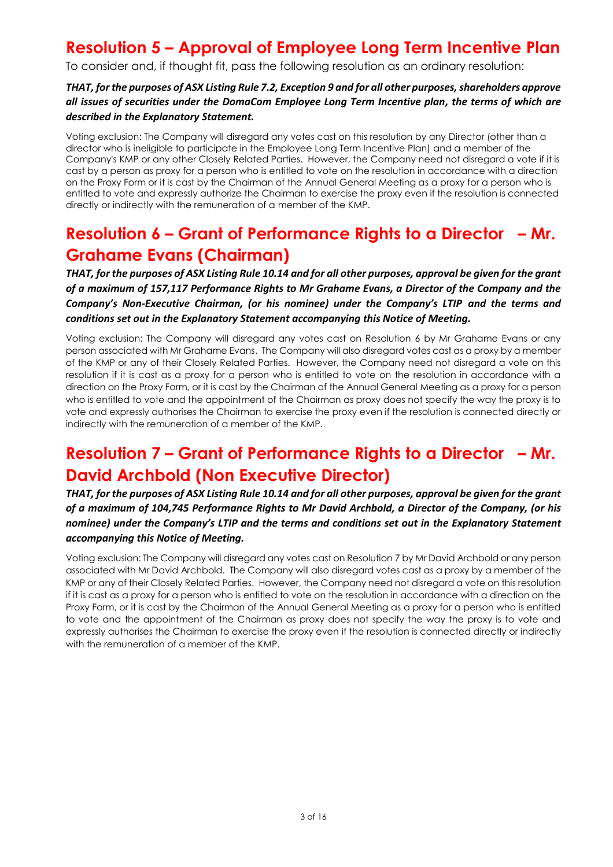# **Resolution 5 – Approval of Employee Long Term Incentive Plan**

To consider and, if thought fit, pass the following resolution as an ordinary resolution:

#### *THAT, for the purposes of ASX Listing Rule 7.2, Exception 9 and for all other purposes, shareholders approve all issues of securities under the DomaCom Employee Long Term Incentive plan, the terms of which are described in the Explanatory Statement.*

Voting exclusion: The Company will disregard any votes cast on this resolution by any Director (other than a director who is ineligible to participate in the Employee Long Term Incentive Plan) and a member of the Company's KMP or any other Closely Related Parties. However, the Company need not disregard a vote if it is cast by a person as proxy for a person who is entitled to vote on the resolution in accordance with a direction on the Proxy Form or it is cast by the Chairman of the Annual General Meeting as a proxy for a person who is entitled to vote and expressly authorize the Chairman to exercise the proxy even if the resolution is connected directly or indirectly with the remuneration of a member of the KMP.

# **Resolution 6 – Grant of Performance Rights to a Director – Mr. Grahame Evans (Chairman)**

*THAT, for the purposes of ASX Listing Rule 10.14 and for all other purposes, approval be given for the grant of a maximum of 157,117 Performance Rights to Mr Grahame Evans, a Director of the Company and the Company's Non-Executive Chairman, (or his nominee) under the Company's LTIP and the terms and conditions set out in the Explanatory Statement accompanying this Notice of Meeting.* 

Voting exclusion: The Company will disregard any votes cast on Resolution 6 by Mr Grahame Evans or any person associated with Mr Grahame Evans. The Company will also disregard votes cast as a proxy by a member of the KMP or any of their Closely Related Parties. However, the Company need not disregard a vote on this resolution if it is cast as a proxy for a person who is entitled to vote on the resolution in accordance with a direction on the Proxy Form, or it is cast by the Chairman of the Annual General Meeting as a proxy for a person who is entitled to vote and the appointment of the Chairman as proxy does not specify the way the proxy is to vote and expressly authorises the Chairman to exercise the proxy even if the resolution is connected directly or indirectly with the remuneration of a member of the KMP.

# **Resolution 7 – Grant of Performance Rights to a Director – Mr. David Archbold (Non Executive Director)**

*THAT, for the purposes of ASX Listing Rule 10.14 and for all other purposes, approval be given for the grant of a maximum of 104,745 Performance Rights to Mr David Archbold, a Director of the Company, (or his nominee) under the Company's LTIP and the terms and conditions set out in the Explanatory Statement accompanying this Notice of Meeting.* 

Voting exclusion: The Company will disregard any votes cast on Resolution 7 by Mr David Archbold or any person associated with Mr David Archbold. The Company will also disregard votes cast as a proxy by a member of the KMP or any of their Closely Related Parties. However, the Company need not disregard a vote on this resolution if it is cast as a proxy for a person who is entitled to vote on the resolution in accordance with a direction on the Proxy Form, or it is cast by the Chairman of the Annual General Meeting as a proxy for a person who is entitled to vote and the appointment of the Chairman as proxy does not specify the way the proxy is to vote and expressly authorises the Chairman to exercise the proxy even if the resolution is connected directly or indirectly with the remuneration of a member of the KMP.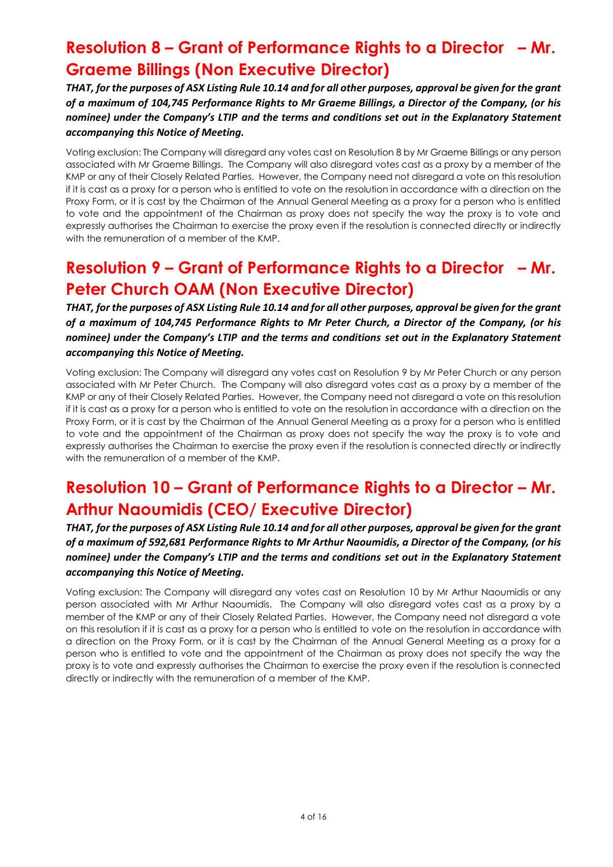# **Resolution 8 – Grant of Performance Rights to a Director – Mr. Graeme Billings (Non Executive Director)**

*THAT, for the purposes of ASX Listing Rule 10.14 and for all other purposes, approval be given for the grant of a maximum of 104,745 Performance Rights to Mr Graeme Billings, a Director of the Company, (or his nominee) under the Company's LTIP and the terms and conditions set out in the Explanatory Statement accompanying this Notice of Meeting.* 

Voting exclusion: The Company will disregard any votes cast on Resolution 8 by Mr Graeme Billings or any person associated with Mr Graeme Billings. The Company will also disregard votes cast as a proxy by a member of the KMP or any of their Closely Related Parties. However, the Company need not disregard a vote on this resolution if it is cast as a proxy for a person who is entitled to vote on the resolution in accordance with a direction on the Proxy Form, or it is cast by the Chairman of the Annual General Meeting as a proxy for a person who is entitled to vote and the appointment of the Chairman as proxy does not specify the way the proxy is to vote and expressly authorises the Chairman to exercise the proxy even if the resolution is connected directly or indirectly with the remuneration of a member of the KMP.

# **Resolution 9 – Grant of Performance Rights to a Director – Mr. Peter Church OAM (Non Executive Director)**

*THAT, for the purposes of ASX Listing Rule 10.14 and for all other purposes, approval be given for the grant of a maximum of 104,745 Performance Rights to Mr Peter Church, a Director of the Company, (or his nominee) under the Company's LTIP and the terms and conditions set out in the Explanatory Statement accompanying this Notice of Meeting.* 

Voting exclusion: The Company will disregard any votes cast on Resolution 9 by Mr Peter Church or any person associated with Mr Peter Church. The Company will also disregard votes cast as a proxy by a member of the KMP or any of their Closely Related Parties. However, the Company need not disregard a vote on this resolution if it is cast as a proxy for a person who is entitled to vote on the resolution in accordance with a direction on the Proxy Form, or it is cast by the Chairman of the Annual General Meeting as a proxy for a person who is entitled to vote and the appointment of the Chairman as proxy does not specify the way the proxy is to vote and expressly authorises the Chairman to exercise the proxy even if the resolution is connected directly or indirectly with the remuneration of a member of the KMP.

# **Resolution 10 – Grant of Performance Rights to a Director – Mr. Arthur Naoumidis (CEO/ Executive Director)**

*THAT, for the purposes of ASX Listing Rule 10.14 and for all other purposes, approval be given for the grant of a maximum of 592,681 Performance Rights to Mr Arthur Naoumidis, a Director of the Company, (or his nominee) under the Company's LTIP and the terms and conditions set out in the Explanatory Statement accompanying this Notice of Meeting.*

Voting exclusion: The Company will disregard any votes cast on Resolution 10 by Mr Arthur Naoumidis or any person associated with Mr Arthur Naoumidis. The Company will also disregard votes cast as a proxy by a member of the KMP or any of their Closely Related Parties. However, the Company need not disregard a vote on this resolution if it is cast as a proxy for a person who is entitled to vote on the resolution in accordance with a direction on the Proxy Form, or it is cast by the Chairman of the Annual General Meeting as a proxy for a person who is entitled to vote and the appointment of the Chairman as proxy does not specify the way the proxy is to vote and expressly authorises the Chairman to exercise the proxy even if the resolution is connected directly or indirectly with the remuneration of a member of the KMP.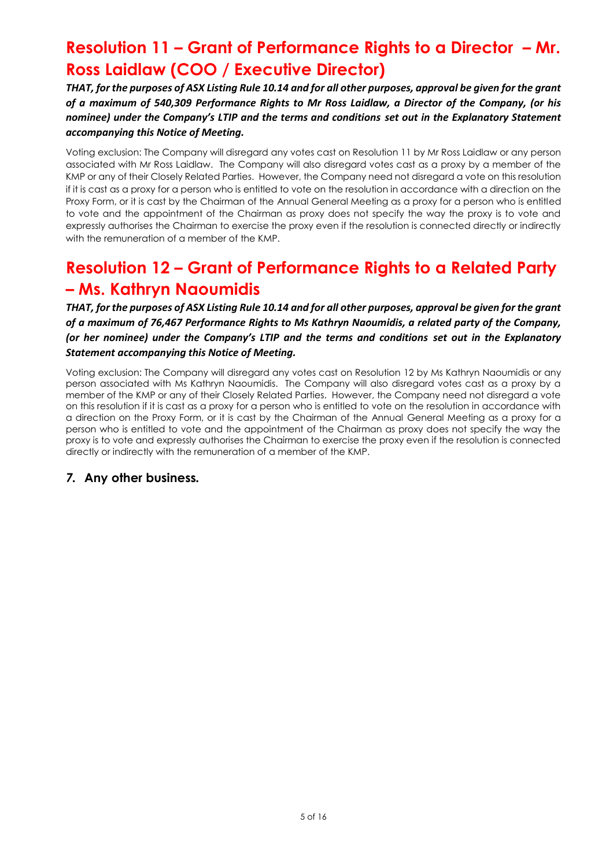# **Resolution 11 – Grant of Performance Rights to a Director – Mr. Ross Laidlaw (COO / Executive Director)**

*THAT, for the purposes of ASX Listing Rule 10.14 and for all other purposes, approval be given for the grant of a maximum of 540,309 Performance Rights to Mr Ross Laidlaw, a Director of the Company, (or his nominee) under the Company's LTIP and the terms and conditions set out in the Explanatory Statement accompanying this Notice of Meeting.*

Voting exclusion: The Company will disregard any votes cast on Resolution 11 by Mr Ross Laidlaw or any person associated with Mr Ross Laidlaw. The Company will also disregard votes cast as a proxy by a member of the KMP or any of their Closely Related Parties. However, the Company need not disregard a vote on this resolution if it is cast as a proxy for a person who is entitled to vote on the resolution in accordance with a direction on the Proxy Form, or it is cast by the Chairman of the Annual General Meeting as a proxy for a person who is entitled to vote and the appointment of the Chairman as proxy does not specify the way the proxy is to vote and expressly authorises the Chairman to exercise the proxy even if the resolution is connected directly or indirectly with the remuneration of a member of the KMP.

# **Resolution 12 – Grant of Performance Rights to a Related Party – Ms. Kathryn Naoumidis**

*THAT, for the purposes of ASX Listing Rule 10.14 and for all other purposes, approval be given for the grant of a maximum of 76,467 Performance Rights to Ms Kathryn Naoumidis, a related party of the Company, (or her nominee) under the Company's LTIP and the terms and conditions set out in the Explanatory Statement accompanying this Notice of Meeting.*

Voting exclusion: The Company will disregard any votes cast on Resolution 12 by Ms Kathryn Naoumidis or any person associated with Ms Kathryn Naoumidis. The Company will also disregard votes cast as a proxy by a member of the KMP or any of their Closely Related Parties. However, the Company need not disregard a vote on this resolution if it is cast as a proxy for a person who is entitled to vote on the resolution in accordance with a direction on the Proxy Form, or it is cast by the Chairman of the Annual General Meeting as a proxy for a person who is entitled to vote and the appointment of the Chairman as proxy does not specify the way the proxy is to vote and expressly authorises the Chairman to exercise the proxy even if the resolution is connected directly or indirectly with the remuneration of a member of the KMP.

### *7.* **Any other business***.*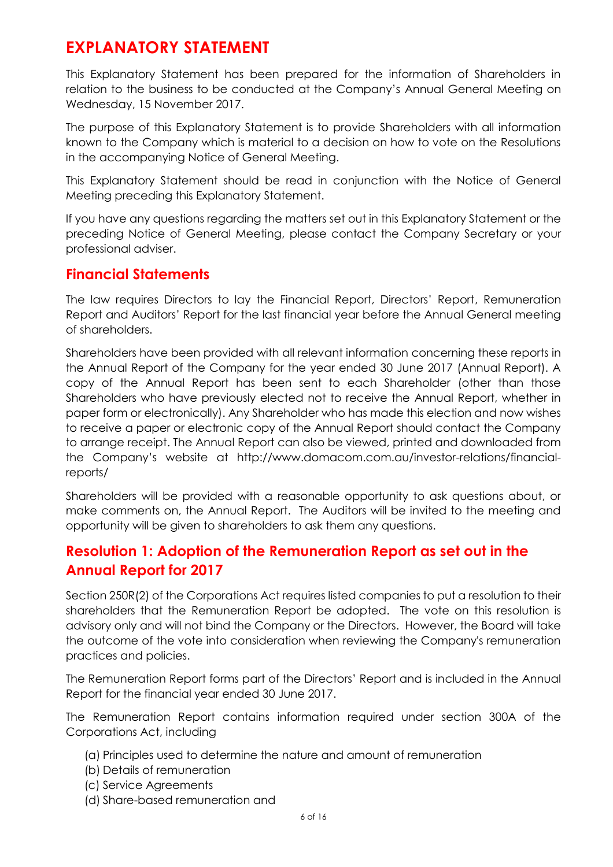# **EXPLANATORY STATEMENT**

This Explanatory Statement has been prepared for the information of Shareholders in relation to the business to be conducted at the Company's Annual General Meeting on Wednesday, 15 November 2017.

The purpose of this Explanatory Statement is to provide Shareholders with all information known to the Company which is material to a decision on how to vote on the Resolutions in the accompanying Notice of General Meeting.

This Explanatory Statement should be read in conjunction with the Notice of General Meeting preceding this Explanatory Statement.

If you have any questions regarding the matters set out in this Explanatory Statement or the preceding Notice of General Meeting, please contact the Company Secretary or your professional adviser.

## **Financial Statements**

The law requires Directors to lay the Financial Report, Directors' Report, Remuneration Report and Auditors' Report for the last financial year before the Annual General meeting of shareholders.

Shareholders have been provided with all relevant information concerning these reports in the Annual Report of the Company for the year ended 30 June 2017 (Annual Report). A copy of the Annual Report has been sent to each Shareholder (other than those Shareholders who have previously elected not to receive the Annual Report, whether in paper form or electronically). Any Shareholder who has made this election and now wishes to receive a paper or electronic copy of the Annual Report should contact the Company to arrange receipt. The Annual Report can also be viewed, printed and downloaded from the Company's website at http://www.domacom.com.au/investor-relations/financialreports/

Shareholders will be provided with a reasonable opportunity to ask questions about, or make comments on, the Annual Report. The Auditors will be invited to the meeting and opportunity will be given to shareholders to ask them any questions.

## **Resolution 1: Adoption of the Remuneration Report as set out in the Annual Report for 2017**

Section 250R(2) of the Corporations Act requires listed companies to put a resolution to their shareholders that the Remuneration Report be adopted. The vote on this resolution is advisory only and will not bind the Company or the Directors. However, the Board will take the outcome of the vote into consideration when reviewing the Company's remuneration practices and policies.

The Remuneration Report forms part of the Directors' Report and is included in the Annual Report for the financial year ended 30 June 2017.

The Remuneration Report contains information required under section 300A of the Corporations Act, including

- (a) Principles used to determine the nature and amount of remuneration
- (b) Details of remuneration
- (c) Service Agreements
- (d) Share-based remuneration and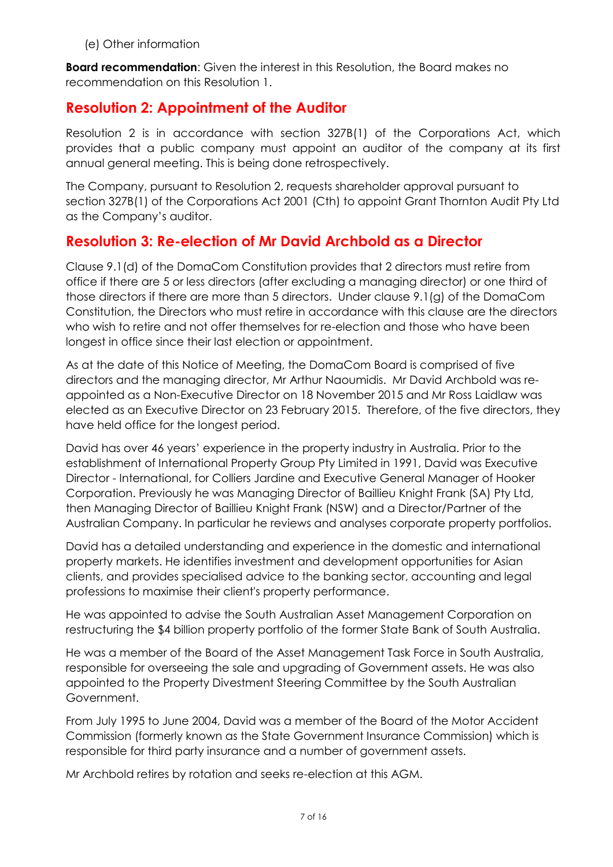(e) Other information

**Board recommendation**: Given the interest in this Resolution, the Board makes no recommendation on this Resolution 1.

## **Resolution 2: Appointment of the Auditor**

Resolution 2 is in accordance with section 327B(1) of the Corporations Act, which provides that a public company must appoint an auditor of the company at its first annual general meeting. This is being done retrospectively.

The Company, pursuant to Resolution 2, requests shareholder approval pursuant to section 327B(1) of the Corporations Act 2001 (Cth) to appoint Grant Thornton Audit Pty Ltd as the Company's auditor.

## **Resolution 3: Re-election of Mr David Archbold as a Director**

Clause 9.1(d) of the DomaCom Constitution provides that 2 directors must retire from office if there are 5 or less directors (after excluding a managing director) or one third of those directors if there are more than 5 directors. Under clause 9.1(g) of the DomaCom Constitution, the Directors who must retire in accordance with this clause are the directors who wish to retire and not offer themselves for re-election and those who have been longest in office since their last election or appointment.

As at the date of this Notice of Meeting, the DomaCom Board is comprised of five directors and the managing director, Mr Arthur Naoumidis. Mr David Archbold was reappointed as a Non-Executive Director on 18 November 2015 and Mr Ross Laidlaw was elected as an Executive Director on 23 February 2015. Therefore, of the five directors, they have held office for the longest period.

David has over 46 years' experience in the property industry in Australia. Prior to the establishment of International Property Group Pty Limited in 1991, David was Executive Director - International, for Colliers Jardine and Executive General Manager of Hooker Corporation. Previously he was Managing Director of Baillieu Knight Frank (SA) Pty Ltd, then Managing Director of Baillieu Knight Frank (NSW) and a Director/Partner of the Australian Company. In particular he reviews and analyses corporate property portfolios.

David has a detailed understanding and experience in the domestic and international property markets. He identifies investment and development opportunities for Asian clients, and provides specialised advice to the banking sector, accounting and legal professions to maximise their client's property performance.

He was appointed to advise the South Australian Asset Management Corporation on restructuring the \$4 billion property portfolio of the former State Bank of South Australia.

He was a member of the Board of the Asset Management Task Force in South Australia, responsible for overseeing the sale and upgrading of Government assets. He was also appointed to the Property Divestment Steering Committee by the South Australian Government.

From July 1995 to June 2004, David was a member of the Board of the Motor Accident Commission (formerly known as the State Government Insurance Commission) which is responsible for third party insurance and a number of government assets.

Mr Archbold retires by rotation and seeks re-election at this AGM.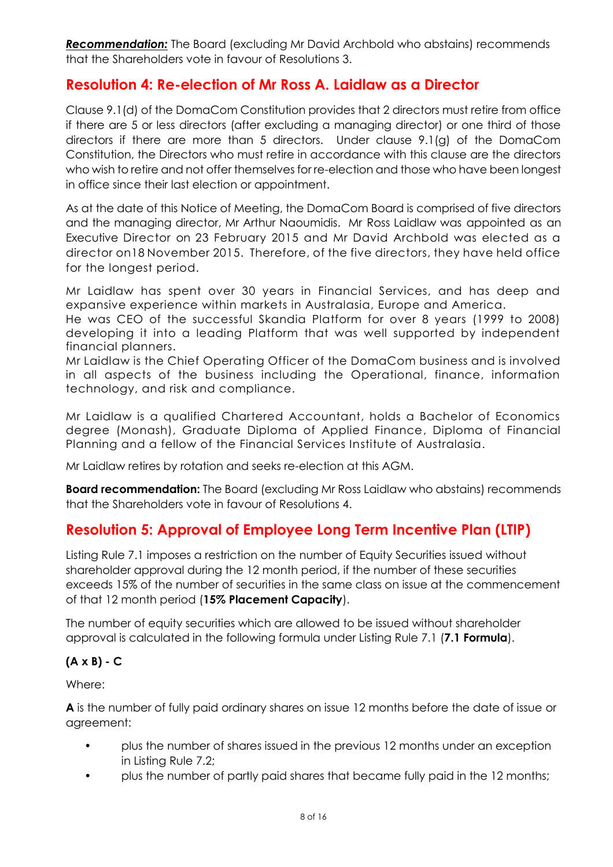**Recommendation:** The Board (excluding Mr David Archbold who abstains) recommends that the Shareholders vote in favour of Resolutions 3.

## **Resolution 4: Re-election of Mr Ross A. Laidlaw as a Director**

Clause 9.1(d) of the DomaCom Constitution provides that 2 directors must retire from office if there are 5 or less directors (after excluding a managing director) or one third of those directors if there are more than 5 directors. Under clause 9.1(g) of the DomaCom Constitution, the Directors who must retire in accordance with this clause are the directors who wish to retire and not offer themselves for re-election and those who have been longest in office since their last election or appointment.

As at the date of this Notice of Meeting, the DomaCom Board is comprised of five directors and the managing director, Mr Arthur Naoumidis. Mr Ross Laidlaw was appointed as an Executive Director on 23 February 2015 and Mr David Archbold was elected as a director on18 November 2015. Therefore, of the five directors, they have held office for the longest period.

Mr Laidlaw has spent over 30 years in Financial Services, and has deep and expansive experience within markets in Australasia, Europe and America.

He was CEO of the successful Skandia Platform for over 8 years (1999 to 2008) developing it into a leading Platform that was well supported by independent financial planners.

Mr Laidlaw is the Chief Operating Officer of the DomaCom business and is involved in all aspects of the business including the Operational, finance, information technology, and risk and compliance.

Mr Laidlaw is a qualified Chartered Accountant, holds a Bachelor of Economics degree (Monash), Graduate Diploma of Applied Finance, Diploma of Financial Planning and a fellow of the Financial Services Institute of Australasia.

Mr Laidlaw retires by rotation and seeks re-election at this AGM.

**Board recommendation:** The Board (excluding Mr Ross Laidlaw who abstains) recommends that the Shareholders vote in favour of Resolutions 4.

## **Resolution 5: Approval of Employee Long Term Incentive Plan (LTIP)**

Listing Rule 7.1 imposes a restriction on the number of Equity Securities issued without shareholder approval during the 12 month period, if the number of these securities exceeds 15% of the number of securities in the same class on issue at the commencement of that 12 month period (**15% Placement Capacity**).

The number of equity securities which are allowed to be issued without shareholder approval is calculated in the following formula under Listing Rule 7.1 (**7.1 Formula**).

### **(A x B) - C**

Where:

**A** is the number of fully paid ordinary shares on issue 12 months before the date of issue or agreement:

- plus the number of shares issued in the previous 12 months under an exception in Listing Rule 7.2;
- plus the number of partly paid shares that became fully paid in the 12 months;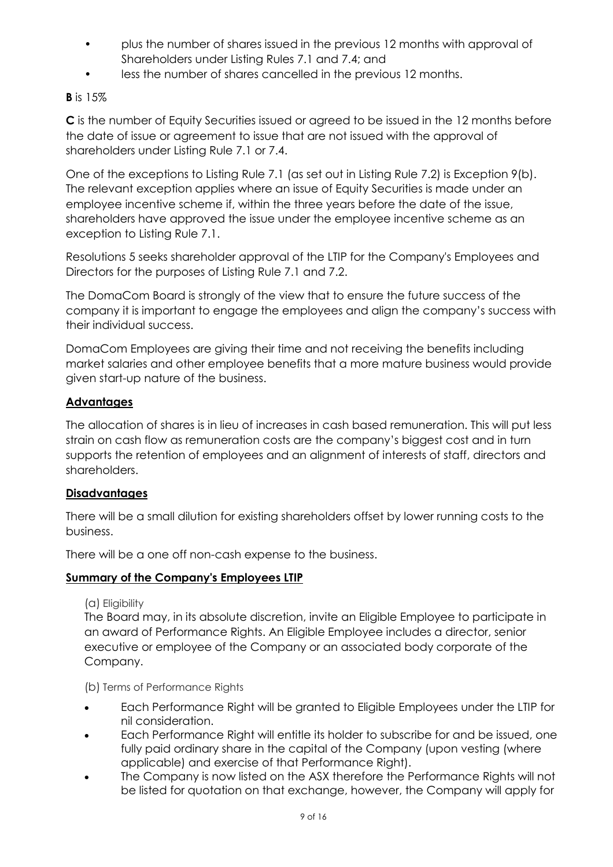- plus the number of shares issued in the previous 12 months with approval of Shareholders under Listing Rules 7.1 and 7.4; and
- less the number of shares cancelled in the previous 12 months.

### **B** is 15%

**C** is the number of Equity Securities issued or agreed to be issued in the 12 months before the date of issue or agreement to issue that are not issued with the approval of shareholders under Listing Rule 7.1 or 7.4.

One of the exceptions to Listing Rule 7.1 (as set out in Listing Rule 7.2) is Exception 9(b). The relevant exception applies where an issue of Equity Securities is made under an employee incentive scheme if, within the three years before the date of the issue, shareholders have approved the issue under the employee incentive scheme as an exception to Listing Rule 7.1.

Resolutions 5 seeks shareholder approval of the LTIP for the Company's Employees and Directors for the purposes of Listing Rule 7.1 and 7.2.

The DomaCom Board is strongly of the view that to ensure the future success of the company it is important to engage the employees and align the company's success with their individual success.

DomaCom Employees are giving their time and not receiving the benefits including market salaries and other employee benefits that a more mature business would provide given start-up nature of the business.

### **Advantages**

The allocation of shares is in lieu of increases in cash based remuneration. This will put less strain on cash flow as remuneration costs are the company's biggest cost and in turn supports the retention of employees and an alignment of interests of staff, directors and shareholders.

### **Disadvantages**

There will be a small dilution for existing shareholders offset by lower running costs to the business.

There will be a one off non-cash expense to the business.

### **Summary of the Company's Employees LTIP**

#### (a) Eligibility

The Board may, in its absolute discretion, invite an Eligible Employee to participate in an award of Performance Rights. An Eligible Employee includes a director, senior executive or employee of the Company or an associated body corporate of the Company.

(b) Terms of Performance Rights

- Each Performance Right will be granted to Eligible Employees under the LTIP for nil consideration.
- Each Performance Right will entitle its holder to subscribe for and be issued, one fully paid ordinary share in the capital of the Company (upon vesting (where applicable) and exercise of that Performance Right).
- The Company is now listed on the ASX therefore the Performance Rights will not be listed for quotation on that exchange, however, the Company will apply for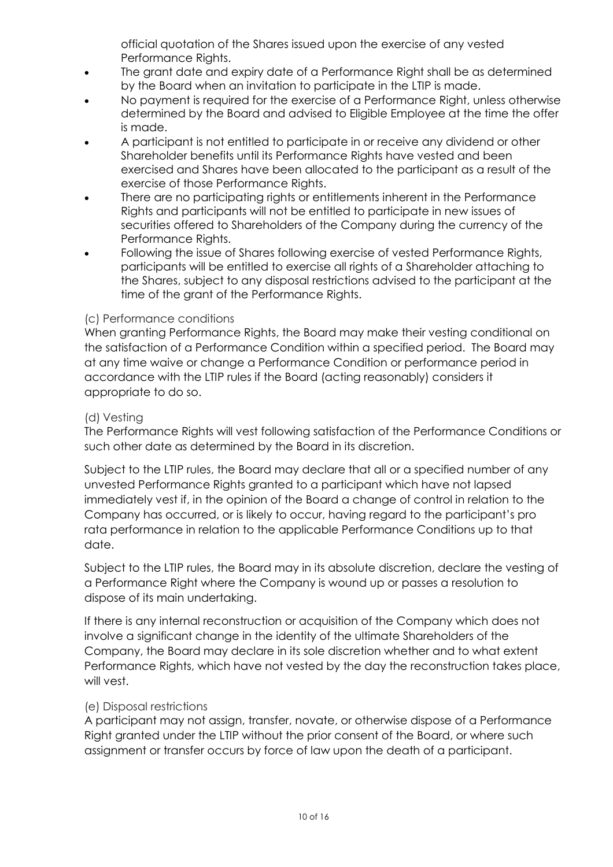official quotation of the Shares issued upon the exercise of any vested Performance Rights.

- The grant date and expiry date of a Performance Right shall be as determined by the Board when an invitation to participate in the LTIP is made.
- No payment is required for the exercise of a Performance Right, unless otherwise determined by the Board and advised to Eligible Employee at the time the offer is made.
- A participant is not entitled to participate in or receive any dividend or other Shareholder benefits until its Performance Rights have vested and been exercised and Shares have been allocated to the participant as a result of the exercise of those Performance Rights.
- There are no participating rights or entitlements inherent in the Performance Rights and participants will not be entitled to participate in new issues of securities offered to Shareholders of the Company during the currency of the Performance Rights.
- Following the issue of Shares following exercise of vested Performance Rights, participants will be entitled to exercise all rights of a Shareholder attaching to the Shares, subject to any disposal restrictions advised to the participant at the time of the grant of the Performance Rights.

### (c) Performance conditions

When granting Performance Rights, the Board may make their vesting conditional on the satisfaction of a Performance Condition within a specified period. The Board may at any time waive or change a Performance Condition or performance period in accordance with the LTIP rules if the Board (acting reasonably) considers it appropriate to do so.

#### (d) Vesting

The Performance Rights will vest following satisfaction of the Performance Conditions or such other date as determined by the Board in its discretion.

Subject to the LTIP rules, the Board may declare that all or a specified number of any unvested Performance Rights granted to a participant which have not lapsed immediately vest if, in the opinion of the Board a change of control in relation to the Company has occurred, or is likely to occur, having regard to the participant's pro rata performance in relation to the applicable Performance Conditions up to that date.

Subject to the LTIP rules, the Board may in its absolute discretion, declare the vesting of a Performance Right where the Company is wound up or passes a resolution to dispose of its main undertaking.

If there is any internal reconstruction or acquisition of the Company which does not involve a significant change in the identity of the ultimate Shareholders of the Company, the Board may declare in its sole discretion whether and to what extent Performance Rights, which have not vested by the day the reconstruction takes place, will vest.

#### (e) Disposal restrictions

A participant may not assign, transfer, novate, or otherwise dispose of a Performance Right granted under the LTIP without the prior consent of the Board, or where such assignment or transfer occurs by force of law upon the death of a participant.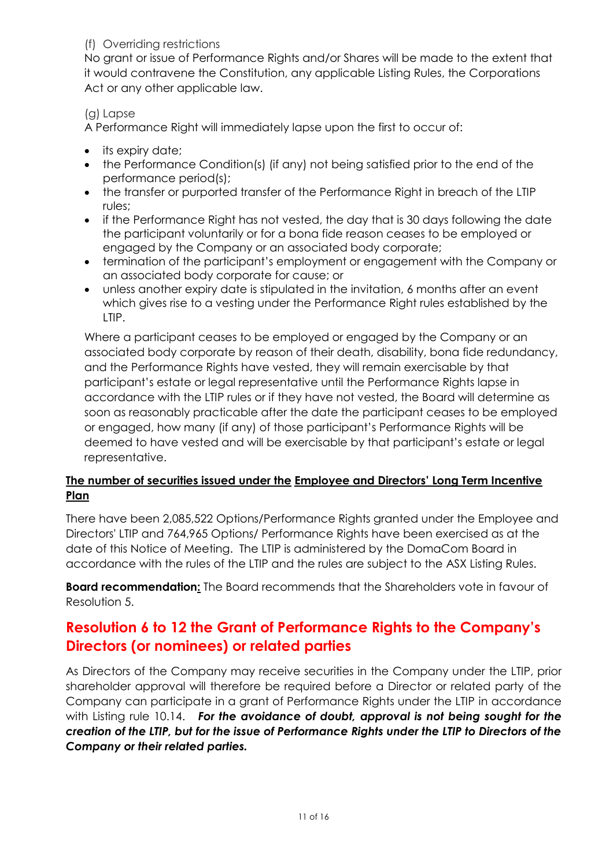#### (f) Overriding restrictions

No grant or issue of Performance Rights and/or Shares will be made to the extent that it would contravene the Constitution, any applicable Listing Rules, the Corporations Act or any other applicable law.

### (g) Lapse

A Performance Right will immediately lapse upon the first to occur of:

- its expiry date;
- the Performance Condition(s) (if any) not being satisfied prior to the end of the performance period(s);
- the transfer or purported transfer of the Performance Right in breach of the LTIP rules;
- if the Performance Right has not vested, the day that is 30 days following the date the participant voluntarily or for a bona fide reason ceases to be employed or engaged by the Company or an associated body corporate;
- termination of the participant's employment or engagement with the Company or an associated body corporate for cause; or
- unless another expiry date is stipulated in the invitation, 6 months after an event which gives rise to a vesting under the Performance Right rules established by the LTIP.

Where a participant ceases to be employed or engaged by the Company or an associated body corporate by reason of their death, disability, bona fide redundancy, and the Performance Rights have vested, they will remain exercisable by that participant's estate or legal representative until the Performance Rights lapse in accordance with the LTIP rules or if they have not vested, the Board will determine as soon as reasonably practicable after the date the participant ceases to be employed or engaged, how many (if any) of those participant's Performance Rights will be deemed to have vested and will be exercisable by that participant's estate or legal representative.

### **The number of securities issued under the Employee and Directors' Long Term Incentive Plan**

There have been 2,085,522 Options/Performance Rights granted under the Employee and Directors' LTIP and 764,965 Options/ Performance Rights have been exercised as at the date of this Notice of Meeting. The LTIP is administered by the DomaCom Board in accordance with the rules of the LTIP and the rules are subject to the ASX Listing Rules.

**Board recommendation:** The Board recommends that the Shareholders vote in favour of Resolution 5.

# **Resolution 6 to 12 the Grant of Performance Rights to the Company's Directors (or nominees) or related parties**

As Directors of the Company may receive securities in the Company under the LTIP, prior shareholder approval will therefore be required before a Director or related party of the Company can participate in a grant of Performance Rights under the LTIP in accordance with Listing rule 10.14. *For the avoidance of doubt, approval is not being sought for the creation of the LTIP, but for the issue of Performance Rights under the LTIP to Directors of the Company or their related parties.*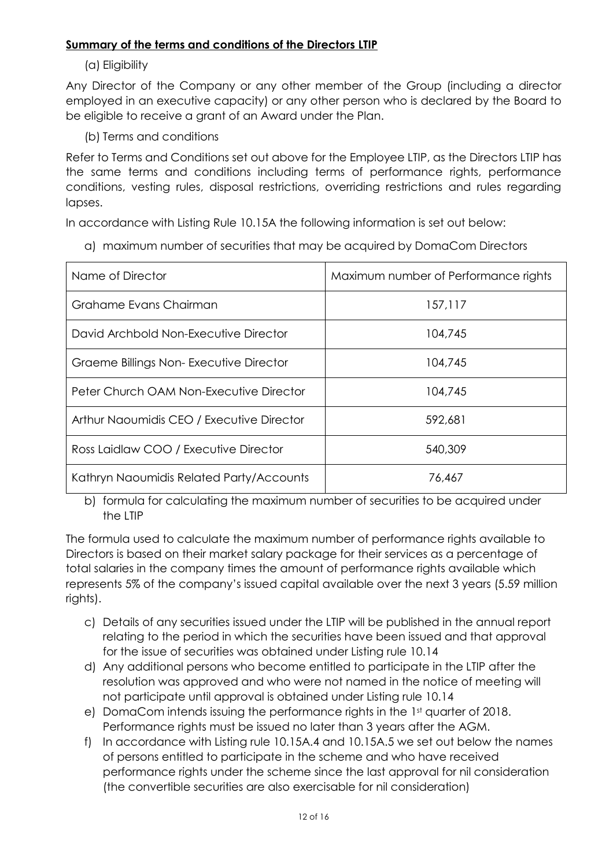### **Summary of the terms and conditions of the Directors LTIP**

### (a) Eligibility

Any Director of the Company or any other member of the Group (including a director employed in an executive capacity) or any other person who is declared by the Board to be eligible to receive a grant of an Award under the Plan.

(b) Terms and conditions

Refer to Terms and Conditions set out above for the Employee LTIP, as the Directors LTIP has the same terms and conditions including terms of performance rights, performance conditions, vesting rules, disposal restrictions, overriding restrictions and rules regarding lapses.

In accordance with Listing Rule 10.15A the following information is set out below:

a) maximum number of securities that may be acquired by DomaCom Directors

| Name of Director                          | Maximum number of Performance rights |
|-------------------------------------------|--------------------------------------|
| Grahame Evans Chairman                    | 157,117                              |
| David Archbold Non-Executive Director     | 104,745                              |
| Graeme Billings Non-Executive Director    | 104,745                              |
| Peter Church OAM Non-Executive Director   | 104,745                              |
| Arthur Naoumidis CEO / Executive Director | 592,681                              |
| Ross Laidlaw COO / Executive Director     | 540,309                              |
| Kathryn Naoumidis Related Party/Accounts  | 76,467                               |

b) formula for calculating the maximum number of securities to be acquired under the LTIP

The formula used to calculate the maximum number of performance rights available to Directors is based on their market salary package for their services as a percentage of total salaries in the company times the amount of performance rights available which represents 5% of the company's issued capital available over the next 3 years (5.59 million rights).

- c) Details of any securities issued under the LTIP will be published in the annual report relating to the period in which the securities have been issued and that approval for the issue of securities was obtained under Listing rule 10.14
- d) Any additional persons who become entitled to participate in the LTIP after the resolution was approved and who were not named in the notice of meeting will not participate until approval is obtained under Listing rule 10.14
- e) DomaCom intends issuing the performance rights in the 1st quarter of 2018. Performance rights must be issued no later than 3 years after the AGM.
- f) In accordance with Listing rule 10.15A.4 and 10.15A.5 we set out below the names of persons entitled to participate in the scheme and who have received performance rights under the scheme since the last approval for nil consideration (the convertible securities are also exercisable for nil consideration)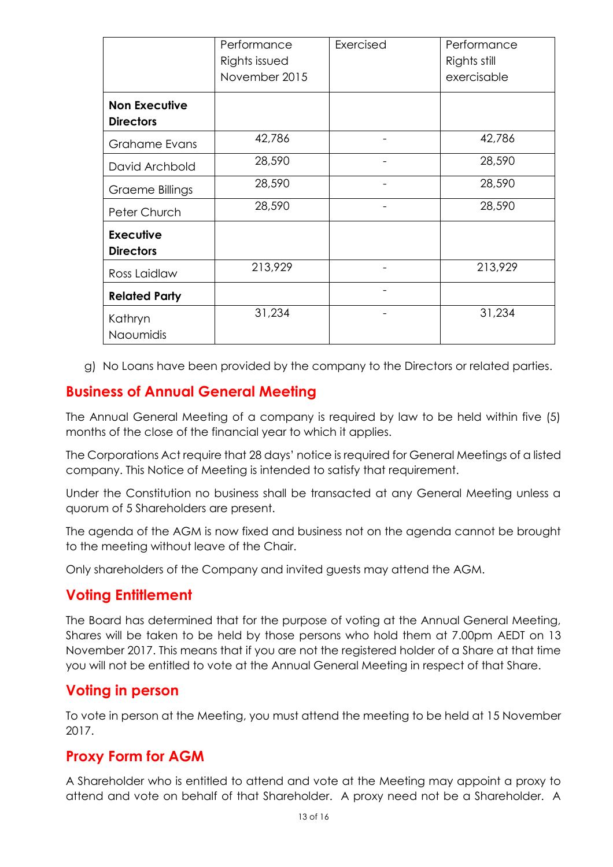|                                          | Performance<br>Rights issued<br>November 2015 | Exercised | Performance<br>Rights still<br>exercisable |
|------------------------------------------|-----------------------------------------------|-----------|--------------------------------------------|
| <b>Non Executive</b><br><b>Directors</b> |                                               |           |                                            |
| <b>Grahame Evans</b>                     | 42,786                                        |           | 42,786                                     |
| David Archbold                           | 28,590                                        |           | 28,590                                     |
| Graeme Billings                          | 28,590                                        |           | 28,590                                     |
| Peter Church                             | 28,590                                        |           | 28,590                                     |
| <b>Executive</b><br><b>Directors</b>     |                                               |           |                                            |
| Ross Laidlaw                             | 213,929                                       |           | 213,929                                    |
| <b>Related Party</b>                     |                                               |           |                                            |
| Kathryn<br>Naoumidis                     | 31,234                                        |           | 31,234                                     |

g) No Loans have been provided by the company to the Directors or related parties.

## **Business of Annual General Meeting**

The Annual General Meeting of a company is required by law to be held within five (5) months of the close of the financial year to which it applies.

The Corporations Act require that 28 days' notice is required for General Meetings of a listed company. This Notice of Meeting is intended to satisfy that requirement.

Under the Constitution no business shall be transacted at any General Meeting unless a quorum of 5 Shareholders are present.

The agenda of the AGM is now fixed and business not on the agenda cannot be brought to the meeting without leave of the Chair.

Only shareholders of the Company and invited guests may attend the AGM.

## **Voting Entitlement**

The Board has determined that for the purpose of voting at the Annual General Meeting, Shares will be taken to be held by those persons who hold them at 7.00pm AEDT on 13 November 2017. This means that if you are not the registered holder of a Share at that time you will not be entitled to vote at the Annual General Meeting in respect of that Share.

## **Voting in person**

To vote in person at the Meeting, you must attend the meeting to be held at 15 November 2017.

## **Proxy Form for AGM**

A Shareholder who is entitled to attend and vote at the Meeting may appoint a proxy to attend and vote on behalf of that Shareholder. A proxy need not be a Shareholder. A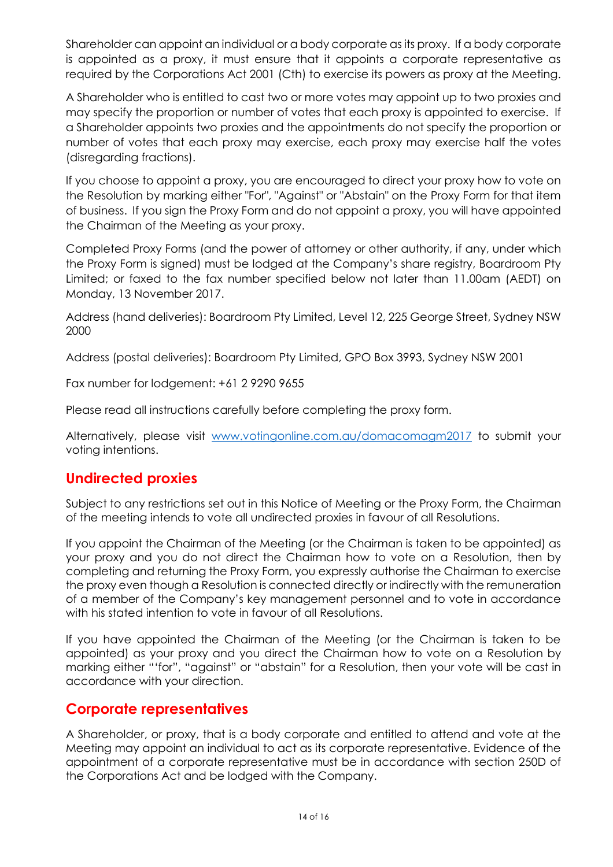Shareholder can appoint an individual or a body corporate as its proxy. If a body corporate is appointed as a proxy, it must ensure that it appoints a corporate representative as required by the Corporations Act 2001 (Cth) to exercise its powers as proxy at the Meeting.

A Shareholder who is entitled to cast two or more votes may appoint up to two proxies and may specify the proportion or number of votes that each proxy is appointed to exercise. If a Shareholder appoints two proxies and the appointments do not specify the proportion or number of votes that each proxy may exercise, each proxy may exercise half the votes (disregarding fractions).

If you choose to appoint a proxy, you are encouraged to direct your proxy how to vote on the Resolution by marking either "For", "Against" or "Abstain" on the Proxy Form for that item of business. If you sign the Proxy Form and do not appoint a proxy, you will have appointed the Chairman of the Meeting as your proxy.

Completed Proxy Forms (and the power of attorney or other authority, if any, under which the Proxy Form is signed) must be lodged at the Company's share registry, Boardroom Pty Limited; or faxed to the fax number specified below not later than 11.00am (AEDT) on Monday, 13 November 2017.

Address (hand deliveries): Boardroom Pty Limited, Level 12, 225 George Street, Sydney NSW 2000

Address (postal deliveries): Boardroom Pty Limited, GPO Box 3993, Sydney NSW 2001

Fax number for lodgement: +61 2 9290 9655

Please read all instructions carefully before completing the proxy form.

Alternatively, please visit [www.votingonline.com.au/domacomagm2017](http://www.votingonline.com.au/domacomagm2016) to submit your voting intentions.

## **Undirected proxies**

Subject to any restrictions set out in this Notice of Meeting or the Proxy Form, the Chairman of the meeting intends to vote all undirected proxies in favour of all Resolutions.

If you appoint the Chairman of the Meeting (or the Chairman is taken to be appointed) as your proxy and you do not direct the Chairman how to vote on a Resolution, then by completing and returning the Proxy Form, you expressly authorise the Chairman to exercise the proxy even though a Resolution is connected directly or indirectly with the remuneration of a member of the Company's key management personnel and to vote in accordance with his stated intention to vote in favour of all Resolutions.

If you have appointed the Chairman of the Meeting (or the Chairman is taken to be appointed) as your proxy and you direct the Chairman how to vote on a Resolution by marking either "'for", "against" or "abstain" for a Resolution, then your vote will be cast in accordance with your direction.

## **Corporate representatives**

A Shareholder, or proxy, that is a body corporate and entitled to attend and vote at the Meeting may appoint an individual to act as its corporate representative. Evidence of the appointment of a corporate representative must be in accordance with section 250D of the Corporations Act and be lodged with the Company.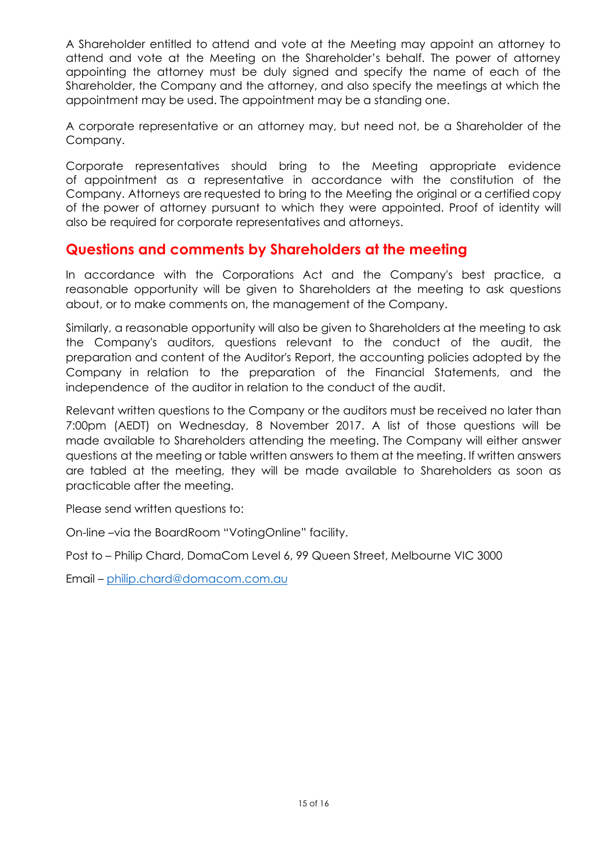A Shareholder entitled to attend and vote at the Meeting may appoint an attorney to attend and vote at the Meeting on the Shareholder's behalf. The power of attorney appointing the attorney must be duly signed and specify the name of each of the Shareholder, the Company and the attorney, and also specify the meetings at which the appointment may be used. The appointment may be a standing one.

A corporate representative or an attorney may, but need not, be a Shareholder of the Company.

Corporate representatives should bring to the Meeting appropriate evidence of appointment as a representative in accordance with the constitution of the Company. Attorneys are requested to bring to the Meeting the original or a certified copy of the power of attorney pursuant to which they were appointed. Proof of identity will also be required for corporate representatives and attorneys.

## **Questions and comments by Shareholders at the meeting**

In accordance with the Corporations Act and the Company's best practice, a reasonable opportunity will be given to Shareholders at the meeting to ask questions about, or to make comments on, the management of the Company.

Similarly, a reasonable opportunity will also be given to Shareholders at the meeting to ask the Company's auditors, questions relevant to the conduct of the audit, the preparation and content of the Auditor's Report, the accounting policies adopted by the Company in relation to the preparation of the Financial Statements, and the independence of the auditor in relation to the conduct of the audit.

Relevant written questions to the Company or the auditors must be received no later than 7:00pm (AEDT) on Wednesday, 8 November 2017. A list of those questions will be made available to Shareholders attending the meeting. The Company will either answer questions at the meeting or table written answers to them at the meeting. If written answers are tabled at the meeting, they will be made available to Shareholders as soon as practicable after the meeting.

Please send written questions to:

On-line –via the BoardRoom "VotingOnline" facility.

Post to – Philip Chard, DomaCom Level 6, 99 Queen Street, Melbourne VIC 3000

Email – philip.chard@domacom.com.au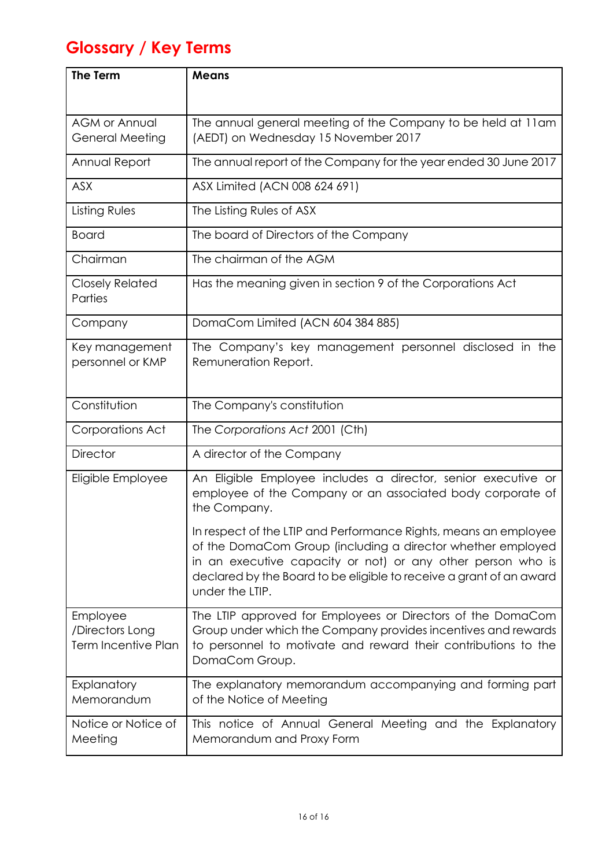# **Glossary / Key Terms**

| <b>The Term</b>                                           | <b>Means</b>                                                                                                                                                                                                                                                                             |
|-----------------------------------------------------------|------------------------------------------------------------------------------------------------------------------------------------------------------------------------------------------------------------------------------------------------------------------------------------------|
|                                                           |                                                                                                                                                                                                                                                                                          |
| <b>AGM or Annual</b><br><b>General Meeting</b>            | The annual general meeting of the Company to be held at 11am<br>(AEDT) on Wednesday 15 November 2017                                                                                                                                                                                     |
| Annual Report                                             | The annual report of the Company for the year ended 30 June 2017                                                                                                                                                                                                                         |
| <b>ASX</b>                                                | ASX Limited (ACN 008 624 691)                                                                                                                                                                                                                                                            |
| Listing Rules                                             | The Listing Rules of ASX                                                                                                                                                                                                                                                                 |
| <b>Board</b>                                              | The board of Directors of the Company                                                                                                                                                                                                                                                    |
| Chairman                                                  | The chairman of the AGM                                                                                                                                                                                                                                                                  |
| <b>Closely Related</b><br>Parties                         | Has the meaning given in section 9 of the Corporations Act                                                                                                                                                                                                                               |
| Company                                                   | DomaCom Limited (ACN 604 384 885)                                                                                                                                                                                                                                                        |
| Key management<br>personnel or KMP                        | The Company's key management personnel disclosed in the<br>Remuneration Report.                                                                                                                                                                                                          |
| Constitution                                              | The Company's constitution                                                                                                                                                                                                                                                               |
| Corporations Act                                          | The Corporations Act 2001 (Cth)                                                                                                                                                                                                                                                          |
| <b>Director</b>                                           | A director of the Company                                                                                                                                                                                                                                                                |
| Eligible Employee                                         | An Eligible Employee includes a director, senior executive or<br>employee of the Company or an associated body corporate of<br>the Company.                                                                                                                                              |
|                                                           | In respect of the LTIP and Performance Rights, means an employee<br>of the DomaCom Group (including a director whether employed<br>in an executive capacity or not) or any other person who is<br>declared by the Board to be eligible to receive a grant of an award<br>under the LTIP. |
| Employee<br>/Directors Long<br><b>Term Incentive Plan</b> | The LTIP approved for Employees or Directors of the DomaCom<br>Group under which the Company provides incentives and rewards<br>to personnel to motivate and reward their contributions to the<br>DomaCom Group.                                                                         |
| Explanatory<br>Memorandum                                 | The explanatory memorandum accompanying and forming part<br>of the Notice of Meeting                                                                                                                                                                                                     |
| Notice or Notice of<br>Meeting                            | This notice of Annual General Meeting and the Explanatory<br>Memorandum and Proxy Form                                                                                                                                                                                                   |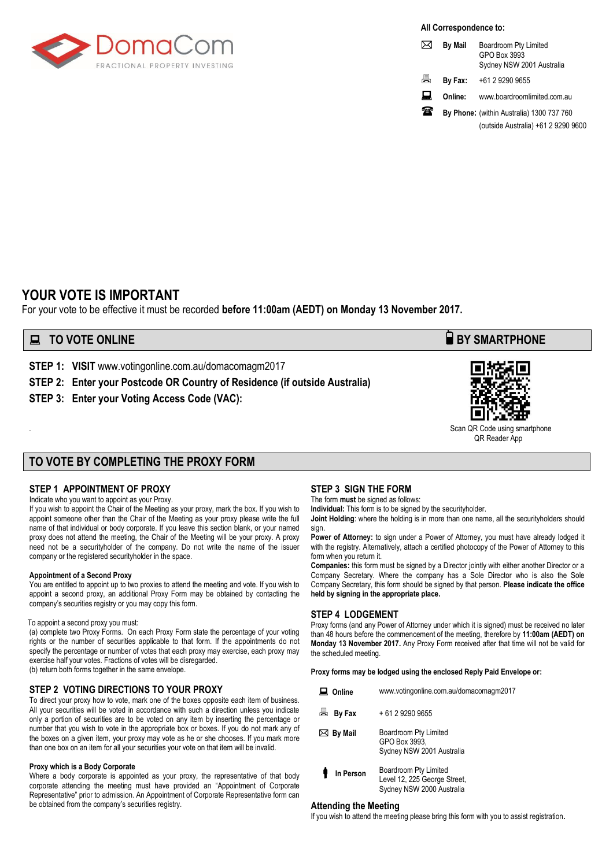

**All Correspondence to:**

|   | <b>By Mail</b> | Boardroom Pty Limited<br>GPO Box 3993<br>Sydney NSW 2001 Australia |
|---|----------------|--------------------------------------------------------------------|
| 昌 | By Fax:        | +61 2 9290 9655                                                    |
| ᇦ | Online:        | www.boardroomlimited.com.au                                        |
| ₩ |                | By Phone: (within Australia) 1300 737 760                          |
|   |                | (outside Australia) +61 2 9290 9600                                |

### **YOUR VOTE IS IMPORTANT**

For your vote to be effective it must be recorded **before 11:00am (AEDT) on Monday 13 November 2017.** 

#### **■ TO VOTE ONLINE BY SMARTPHONE**

**STEP 1: VISIT** www.votingonline.com.au/domacomagm2017

- **STEP 2: Enter your Postcode OR Country of Residence (if outside Australia)**
- **STEP 3: Enter your Voting Access Code (VAC):**



Scan QR Code using smartphone QR Reader App

#### **TO VOTE BY COMPLETING THE PROXY FORM**

#### **STEP 1 APPOINTMENT OF PROXY**

#### Indicate who you want to appoint as your Proxy.

If you wish to appoint the Chair of the Meeting as your proxy, mark the box. If you wish to appoint someone other than the Chair of the Meeting as your proxy please write the full name of that individual or body corporate. If you leave this section blank, or your named proxy does not attend the meeting, the Chair of the Meeting will be your proxy. A proxy need not be a securityholder of the company. Do not write the name of the issuer company or the registered securityholder in the space.

#### **Appointment of a Second Proxy**

You are entitled to appoint up to two proxies to attend the meeting and vote. If you wish to appoint a second proxy, an additional Proxy Form may be obtained by contacting the company's securities registry or you may copy this form.

#### To appoint a second proxy you must:

(a) complete two Proxy Forms. On each Proxy Form state the percentage of your voting rights or the number of securities applicable to that form. If the appointments do not specify the percentage or number of votes that each proxy may exercise, each proxy may exercise half your votes. Fractions of votes will be disregarded. (b) return both forms together in the same envelope.

#### **STEP 2 VOTING DIRECTIONS TO YOUR PROXY**

To direct your proxy how to vote, mark one of the boxes opposite each item of business. All your securities will be voted in accordance with such a direction unless you indicate only a portion of securities are to be voted on any item by inserting the percentage or number that you wish to vote in the appropriate box or boxes. If you do not mark any of the boxes on a given item, your proxy may vote as he or she chooses. If you mark more than one box on an item for all your securities your vote on that item will be invalid.

#### **Proxy which is a Body Corporate**

Where a body corporate is appointed as your proxy, the representative of that body corporate attending the meeting must have provided an "Appointment of Corporate Representative" prior to admission. An Appointment of Corporate Representative form can be obtained from the company's securities registry.

#### **STEP 3 SIGN THE FORM**

The form **must** be signed as follows: **Individual:** This form is to be signed by the securityholder.

**Joint Holding**: where the holding is in more than one name, all the securityholders should sign.

Power of Attorney: to sign under a Power of Attorney, you must have already lodged it with the registry. Alternatively, attach a certified photocopy of the Power of Attorney to this form when you return it.

**Companies:** this form must be signed by a Director jointly with either another Director or a Company Secretary. Where the company has a Sole Director who is also the Sole Company Secretary, this form should be signed by that person. **Please indicate the office held by signing in the appropriate place.**

#### **STEP 4 LODGEMENT**

Proxy forms (and any Power of Attorney under which it is signed) must be received no later than 48 hours before the commencement of the meeting, therefore by **11:00am (AEDT) on Monday 13 November 2017.** Any Proxy Form received after that time will not be valid for the scheduled meeting.

**Proxy forms may be lodged using the enclosed Reply Paid Envelope or:**

| Online            | www.votingonline.com.au/domacomagm2017                                             |  |  |  |  |
|-------------------|------------------------------------------------------------------------------------|--|--|--|--|
| 圖 By Fax          | + 61 2 9290 9655                                                                   |  |  |  |  |
| $\bowtie$ By Mail | Boardroom Pty Limited<br>GPO Box 3993.<br>Sydney NSW 2001 Australia                |  |  |  |  |
| In Person         | Boardroom Pty Limited<br>Level 12, 225 George Street,<br>Sydney NSW 2000 Australia |  |  |  |  |

#### **Attending the Meeting**

If you wish to attend the meeting please bring this form with you to assist registration**.**